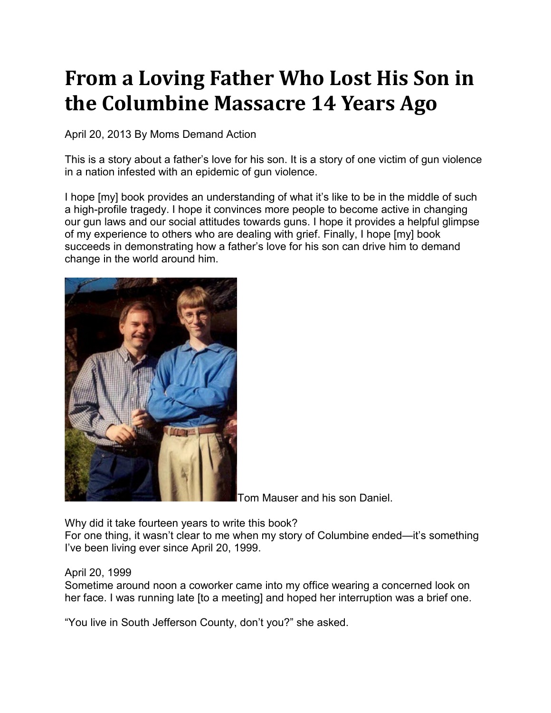## **From a Loving Father Who Lost His Son in the Columbine Massacre 14 Years Ago**

April 20, 2013 By [Moms Demand Action](https://momsdemandaction.org/author/moms-demand-action/)

This is a story about a father's love for his son. It is a story of one victim of gun violence in a nation infested with an epidemic of gun violence.

I hope [my] book provides an understanding of what it's like to be in the middle of such a high-profile tragedy. I hope it convinces more people to become active in changing our gun laws and our social attitudes towards guns. I hope it provides a helpful glimpse of my experience to others who are dealing with grief. Finally, I hope [my] book succeeds in demonstrating how a father's love for his son can drive him to demand change in the world around him.



Tom Mauser and his son Daniel.

Why did it take fourteen years to write this book?

For one thing, it wasn't clear to me when my story of Columbine ended—it's something I've been living ever since April 20, 1999.

## April 20, 1999

Sometime around noon a coworker came into my office wearing a concerned look on her face. I was running late [to a meeting] and hoped her interruption was a brief one.

"You live in South Jefferson County, don't you?" she asked.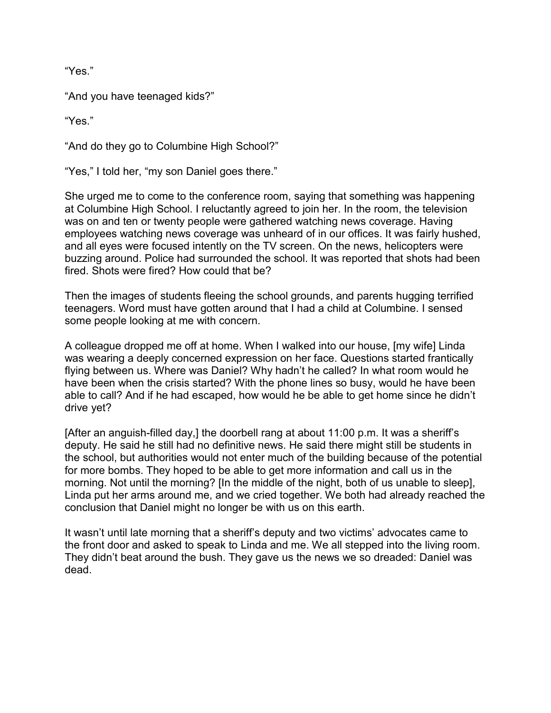"Yes."

"And you have teenaged kids?"

"Yes."

"And do they go to Columbine High School?"

"Yes," I told her, "my son Daniel goes there."

She urged me to come to the conference room, saying that something was happening at Columbine High School. I reluctantly agreed to join her. In the room, the television was on and ten or twenty people were gathered watching news coverage. Having employees watching news coverage was unheard of in our offices. It was fairly hushed, and all eyes were focused intently on the TV screen. On the news, helicopters were buzzing around. Police had surrounded the school. It was reported that shots had been fired. Shots were fired? How could that be?

Then the images of students fleeing the school grounds, and parents hugging terrified teenagers. Word must have gotten around that I had a child at Columbine. I sensed some people looking at me with concern.

A colleague dropped me off at home. When I walked into our house, [my wife] Linda was wearing a deeply concerned expression on her face. Questions started frantically flying between us. Where was Daniel? Why hadn't he called? In what room would he have been when the crisis started? With the phone lines so busy, would he have been able to call? And if he had escaped, how would he be able to get home since he didn't drive yet?

[After an anguish-filled day,] the doorbell rang at about 11:00 p.m. It was a sheriff's deputy. He said he still had no definitive news. He said there might still be students in the school, but authorities would not enter much of the building because of the potential for more bombs. They hoped to be able to get more information and call us in the morning. Not until the morning? [In the middle of the night, both of us unable to sleep], Linda put her arms around me, and we cried together. We both had already reached the conclusion that Daniel might no longer be with us on this earth.

It wasn't until late morning that a sheriff's deputy and two victims' advocates came to the front door and asked to speak to Linda and me. We all stepped into the living room. They didn't beat around the bush. They gave us the news we so dreaded: Daniel was dead.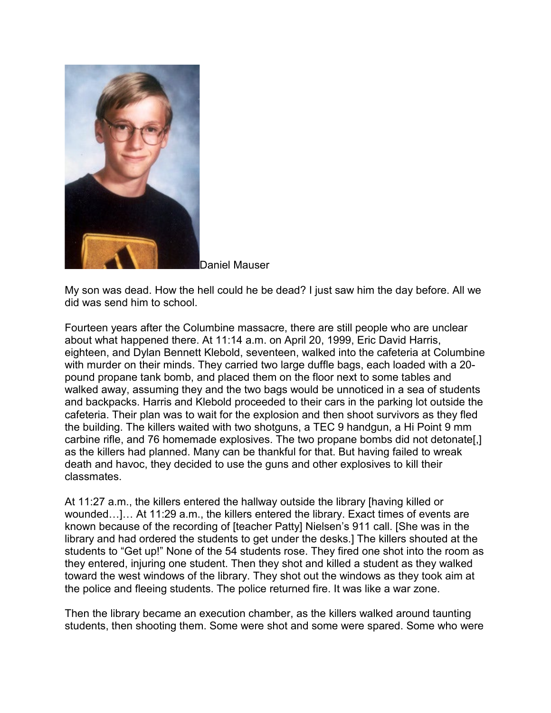

Daniel Mauser

My son was dead. How the hell could he be dead? I just saw him the day before. All we did was send him to school.

Fourteen years after the Columbine massacre, there are still people who are unclear about what happened there. At 11:14 a.m. on April 20, 1999, Eric David Harris, eighteen, and Dylan Bennett Klebold, seventeen, walked into the cafeteria at Columbine with murder on their minds. They carried two large duffle bags, each loaded with a 20 pound propane tank bomb, and placed them on the floor next to some tables and walked away, assuming they and the two bags would be unnoticed in a sea of students and backpacks. Harris and Klebold proceeded to their cars in the parking lot outside the cafeteria. Their plan was to wait for the explosion and then shoot survivors as they fled the building. The killers waited with two shotguns, a TEC 9 handgun, a Hi Point 9 mm carbine rifle, and 76 homemade explosives. The two propane bombs did not detonate[,] as the killers had planned. Many can be thankful for that. But having failed to wreak death and havoc, they decided to use the guns and other explosives to kill their classmates.

At 11:27 a.m., the killers entered the hallway outside the library [having killed or wounded…]… At 11:29 a.m., the killers entered the library. Exact times of events are known because of the recording of [teacher Patty] Nielsen's 911 call. [She was in the library and had ordered the students to get under the desks.] The killers shouted at the students to "Get up!" None of the 54 students rose. They fired one shot into the room as they entered, injuring one student. Then they shot and killed a student as they walked toward the west windows of the library. They shot out the windows as they took aim at the police and fleeing students. The police returned fire. It was like a war zone.

Then the library became an execution chamber, as the killers walked around taunting students, then shooting them. Some were shot and some were spared. Some who were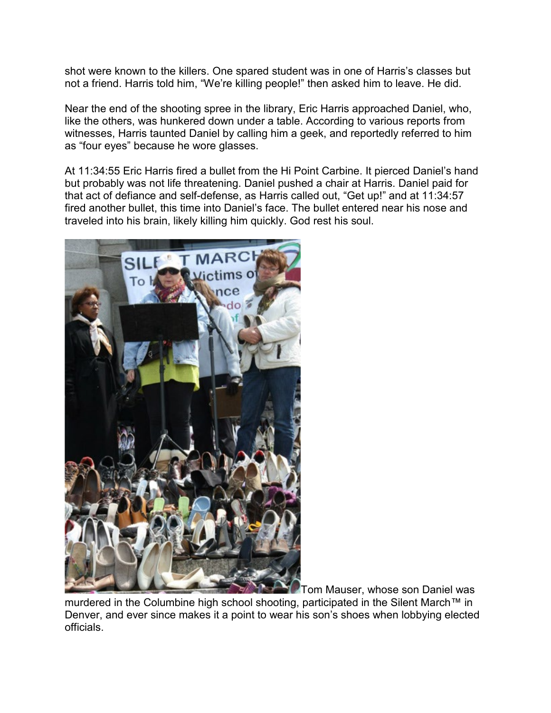shot were known to the killers. One spared student was in one of Harris's classes but not a friend. Harris told him, "We're killing people!" then asked him to leave. He did.

Near the end of the shooting spree in the library, Eric Harris approached Daniel, who, like the others, was hunkered down under a table. According to various reports from witnesses, Harris taunted Daniel by calling him a geek, and reportedly referred to him as "four eyes" because he wore glasses.

At 11:34:55 Eric Harris fired a bullet from the Hi Point Carbine. It pierced Daniel's hand but probably was not life threatening. Daniel pushed a chair at Harris. Daniel paid for that act of defiance and self-defense, as Harris called out, "Get up!" and at 11:34:57 fired another bullet, this time into Daniel's face. The bullet entered near his nose and traveled into his brain, likely killing him quickly. God rest his soul.



**Tom Mauser, whose son Daniel was** 

murdered in the Columbine high school shooting, participated in the Silent March™ in Denver, and ever since makes it a point to wear his son's shoes when lobbying elected officials.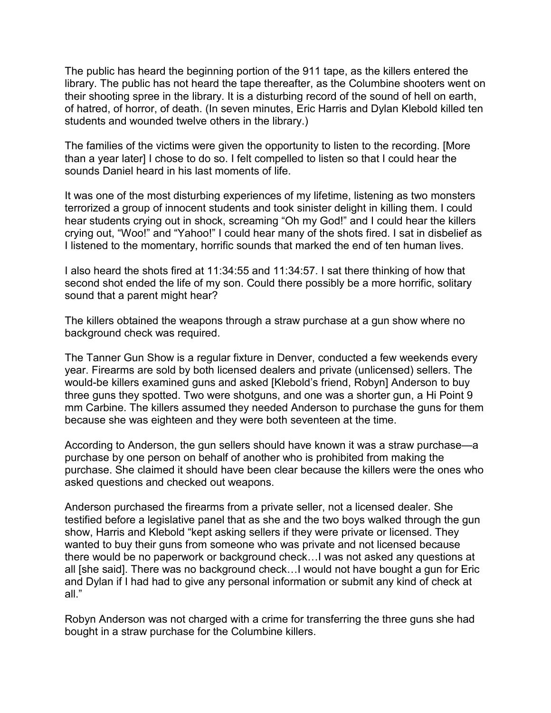The public has heard the beginning portion of the 911 tape, as the killers entered the library. The public has not heard the tape thereafter, as the Columbine shooters went on their shooting spree in the library. It is a disturbing record of the sound of hell on earth, of hatred, of horror, of death. (In seven minutes, Eric Harris and Dylan Klebold killed ten students and wounded twelve others in the library.)

The families of the victims were given the opportunity to listen to the recording. [More than a year later] I chose to do so. I felt compelled to listen so that I could hear the sounds Daniel heard in his last moments of life.

It was one of the most disturbing experiences of my lifetime, listening as two monsters terrorized a group of innocent students and took sinister delight in killing them. I could hear students crying out in shock, screaming "Oh my God!" and I could hear the killers crying out, "Woo!" and "Yahoo!" I could hear many of the shots fired. I sat in disbelief as I listened to the momentary, horrific sounds that marked the end of ten human lives.

I also heard the shots fired at 11:34:55 and 11:34:57. I sat there thinking of how that second shot ended the life of my son. Could there possibly be a more horrific, solitary sound that a parent might hear?

The killers obtained the weapons through a straw purchase at a gun show where no background check was required.

The Tanner Gun Show is a regular fixture in Denver, conducted a few weekends every year. Firearms are sold by both licensed dealers and private (unlicensed) sellers. The would-be killers examined guns and asked [Klebold's friend, Robyn] Anderson to buy three guns they spotted. Two were shotguns, and one was a shorter gun, a Hi Point 9 mm Carbine. The killers assumed they needed Anderson to purchase the guns for them because she was eighteen and they were both seventeen at the time.

According to Anderson, the gun sellers should have known it was a straw purchase—a purchase by one person on behalf of another who is prohibited from making the purchase. She claimed it should have been clear because the killers were the ones who asked questions and checked out weapons.

Anderson purchased the firearms from a private seller, not a licensed dealer. She testified before a legislative panel that as she and the two boys walked through the gun show, Harris and Klebold "kept asking sellers if they were private or licensed. They wanted to buy their guns from someone who was private and not licensed because there would be no paperwork or background check…I was not asked any questions at all [she said]. There was no background check…I would not have bought a gun for Eric and Dylan if I had had to give any personal information or submit any kind of check at all."

Robyn Anderson was not charged with a crime for transferring the three guns she had bought in a straw purchase for the Columbine killers.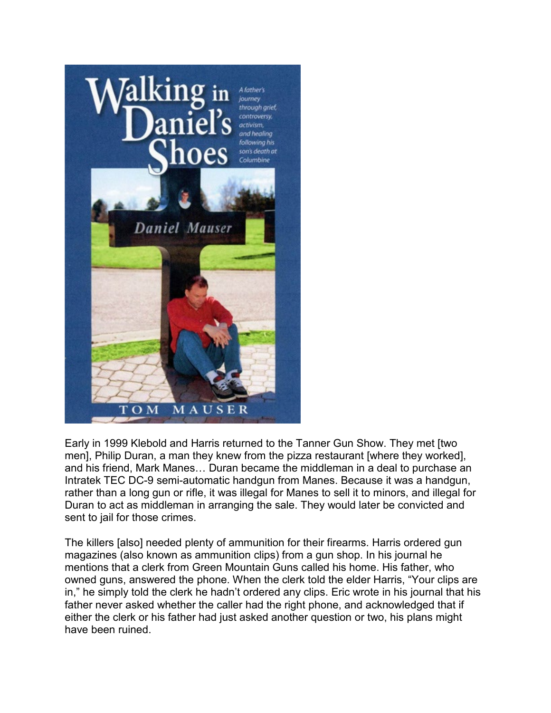

Early in 1999 Klebold and Harris returned to the Tanner Gun Show. They met [two men], Philip Duran, a man they knew from the pizza restaurant [where they worked], and his friend, Mark Manes… Duran became the middleman in a deal to purchase an Intratek TEC DC-9 semi-automatic handgun from Manes. Because it was a handgun, rather than a long gun or rifle, it was illegal for Manes to sell it to minors, and illegal for Duran to act as middleman in arranging the sale. They would later be convicted and sent to jail for those crimes.

The killers [also] needed plenty of ammunition for their firearms. Harris ordered gun magazines (also known as ammunition clips) from a gun shop. In his journal he mentions that a clerk from Green Mountain Guns called his home. His father, who owned guns, answered the phone. When the clerk told the elder Harris, "Your clips are in," he simply told the clerk he hadn't ordered any clips. Eric wrote in his journal that his father never asked whether the caller had the right phone, and acknowledged that if either the clerk or his father had just asked another question or two, his plans might have been ruined.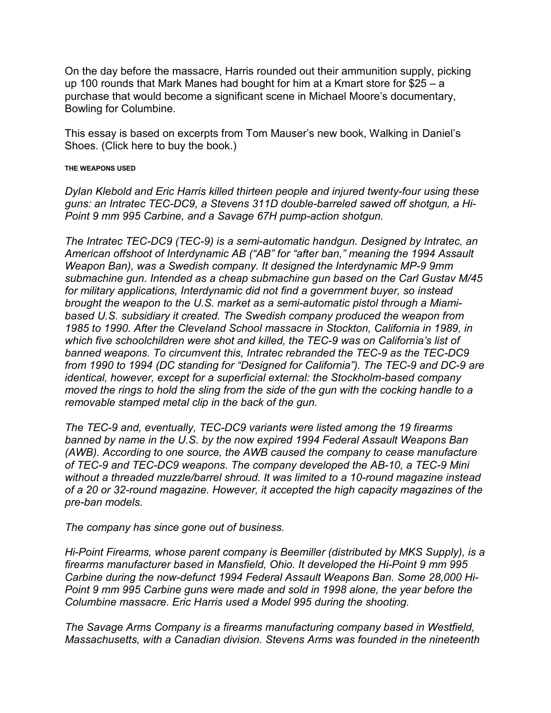On the day before the massacre, Harris rounded out their ammunition supply, picking up 100 rounds that Mark Manes had bought for him at a Kmart store for \$25 – a purchase that would become a significant scene in Michael Moore's documentary, Bowling for Columbine.

This essay is based on excerpts from Tom Mauser's new book, Walking in Daniel's Shoes. [\(Click here to buy the book.\)](http://www.danielmauser.com/BookComing.html)

## **THE WEAPONS USED**

*Dylan Klebold and Eric Harris killed thirteen people and injured twenty-four using these guns: an Intratec TEC-DC9, a Stevens 311D double-barreled sawed off shotgun, a Hi-Point 9 mm 995 Carbine, and a Savage 67H pump-action shotgun.*

*The Intratec TEC-DC9 (TEC-9) is a semi-automatic handgun. Designed by Intratec, an American offshoot of Interdynamic AB ("AB" for "after ban," meaning the 1994 Assault Weapon Ban), was a Swedish company. It designed the Interdynamic MP-9 9mm submachine gun. Intended as a cheap submachine gun based on the Carl Gustav M/45 for military applications, Interdynamic did not find a government buyer, so instead brought the weapon to the U.S. market as a semi-automatic pistol through a Miamibased U.S. subsidiary it created. The Swedish company produced the weapon from 1985 to 1990. After the Cleveland School massacre in Stockton, California in 1989, in which five schoolchildren were shot and killed, the TEC-9 was on California's list of banned weapons. To circumvent this, Intratec rebranded the TEC-9 as the TEC-DC9 from 1990 to 1994 (DC standing for "Designed for California"). The TEC-9 and DC-9 are identical, however, except for a superficial external: the Stockholm-based company moved the rings to hold the sling from the side of the gun with the cocking handle to a removable stamped metal clip in the back of the gun.*

*The TEC-9 and, eventually, TEC-DC9 variants were listed among the 19 firearms banned by name in the U.S. by the now expired 1994 Federal Assault Weapons Ban (AWB). According to one source, the AWB caused the company to cease manufacture of TEC-9 and TEC-DC9 weapons. The company developed the AB-10, a TEC-9 Mini without a threaded muzzle/barrel shroud. It was limited to a 10-round magazine instead of a 20 or 32-round magazine. However, it accepted the high capacity magazines of the pre-ban models.*

*The company has since gone out of business.*

*Hi-Point Firearms, whose parent company is Beemiller (distributed by MKS Supply), is a firearms manufacturer based in Mansfield, Ohio. It developed the Hi-Point 9 mm 995 Carbine during the now-defunct 1994 Federal Assault Weapons Ban. Some 28,000 Hi-Point 9 mm 995 Carbine guns were made and sold in 1998 alone, the year before the Columbine massacre. Eric Harris used a Model 995 during the shooting.*

*The Savage Arms Company is a firearms manufacturing company based in Westfield, Massachusetts, with a Canadian division. Stevens Arms was founded in the nineteenth*